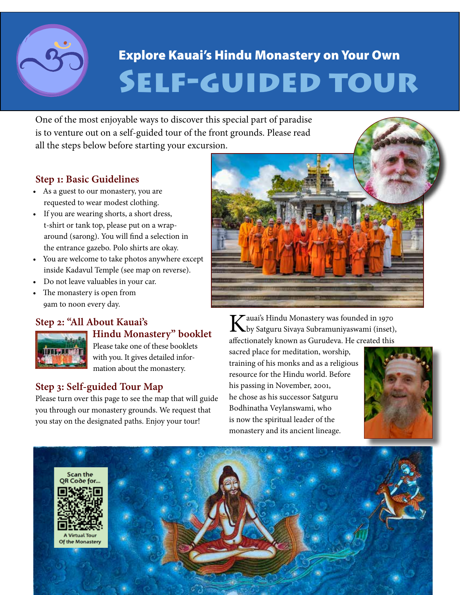

# SELF-GUIDED TOUR Explore Kauai's Hindu Monastery on Your Own

One of the most enjoyable ways to discover this special part of paradise is to venture out on a self-guided tour of the front grounds. Please read all the steps below before starting your excursion.

### **Step 1: Basic Guidelines**

- As a guest to our monastery, you are requested to wear modest clothing.
- If you are wearing shorts, a short dress, t-shirt or tank top, please put on a wraparound (sarong). You will find a selection in the entrance gazebo. Polo shirts are okay.
- You are welcome to take photos anywhere except inside Kadavul Temple (see map on reverse).
- Do not leave valuables in your car.
- The monastery is open from 9am to noon every day.

# **Step 2: "All About Kauai's**



### **Hindu Monastery" booklet** Please take one of these booklets

with you. It gives detailed information about the monastery.

# **Step 3: Self-guided Tour Map**

Please turn over this page to see the map that will guide you through our monastery grounds. We request that you stay on the designated paths. Enjoy your tour!



Kauai's Hindu Monastery was founded in 1970 by Satguru Sivaya Subramuniyaswami (inset), affectionately known as Gurudeva. He created this

sacred place for meditation, worship, training of his monks and as a religious resource for the Hindu world. Before his passing in November, 2001, he chose as his successor Satguru Bodhinatha Veylanswami, who is now the spiritual leader of the monastery and its ancient lineage.